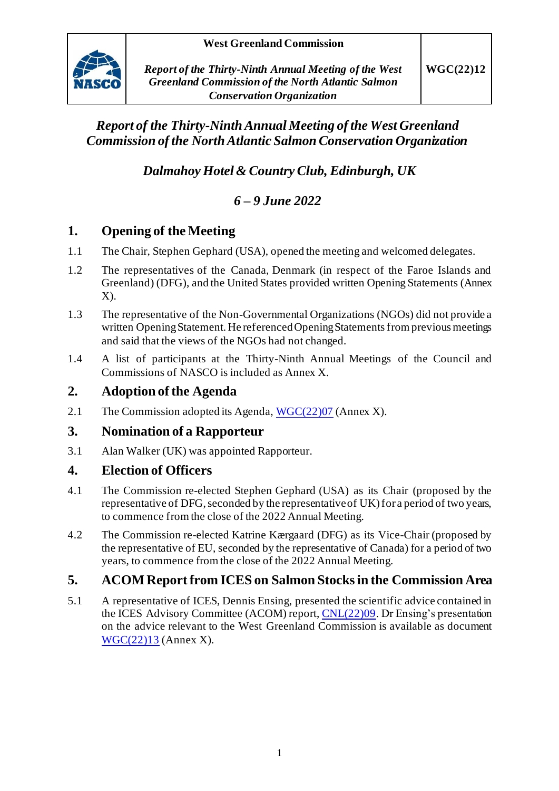

## *Report of the Thirty-NinthAnnual Meeting of the West Greenland Commission of the North Atlantic Salmon Conservation Organization*

*Dalmahoy Hotel & Country Club, Edinburgh, UK*

# *6 – 9 June 2022*

## **1. Opening of the Meeting**

- 1.1 The Chair, Stephen Gephard (USA), opened the meeting and welcomed delegates.
- 1.2 The representatives of the Canada, Denmark (in respect of the Faroe Islands and Greenland) (DFG), and the United States provided written Opening Statements (Annex  $X$ ).
- 1.3 The representative of the Non-Governmental Organizations (NGOs) did not provide a written Opening Statement. He referenced Opening Statements from previous meetings and said that the views of the NGOs had not changed.
- 1.4 A list of participants at the Thirty-Ninth Annual Meetings of the Council and Commissions of NASCO is included as Annex X.

## **2. Adoption of the Agenda**

2.1 The Commission adopted its Agenda[, WGC\(22\)07](https://nasco.int/wp-content/uploads/2022/06/WGC2207_Agenda-1.pdf) (Annex X).

## **3. Nomination of a Rapporteur**

3.1 Alan Walker (UK) was appointed Rapporteur.

## **4. Election of Officers**

- 4.1 The Commission re-elected Stephen Gephard (USA) as its Chair (proposed by the representative of DFG, seconded by the representative of UK) for a period of two years, to commence from the close of the 2022 Annual Meeting.
- 4.2 The Commission re-elected Katrine Kærgaard (DFG) as its Vice-Chair (proposed by the representative of EU, seconded by the representative of Canada) for a period of two years, to commence from the close of the 2022 Annual Meeting.

## **5. ACOM Report from ICES on Salmon Stocks in the Commission Area**

5.1 A representative of ICES, Dennis Ensing, presented the scientific advice contained in the ICES Advisory Committee (ACOM) report[, CNL\(22\)09](https://nasco.int/wp-content/uploads/2022/05/CNL2209_ICES-Advice.pdf). Dr Ensing's presentation on the advice relevant to the West Greenland Commission is available as document [WGC\(22\)13](https://nasco.int/wp-content/uploads/2022/06/WGC2213_Presentation-of-the-ICES-Advice-on-Atlantic-Salmon-to-the-West-Greenland-Commission.pdf) (Annex X).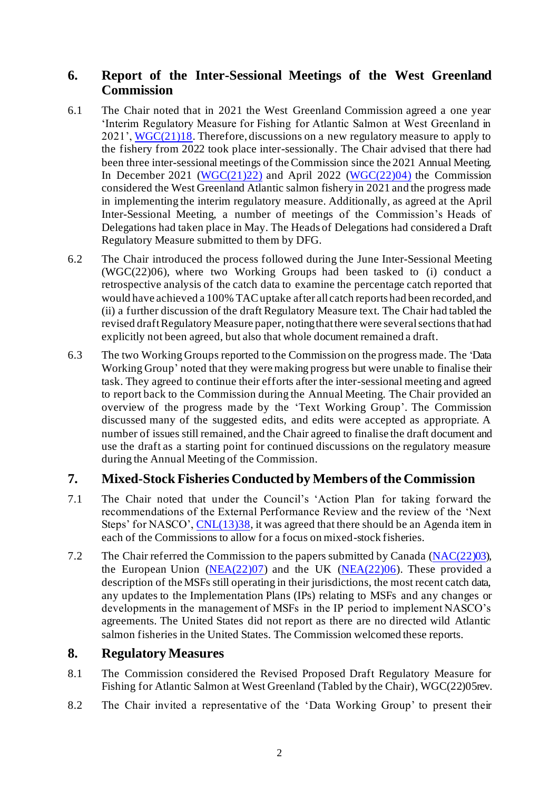### **6. Report of the Inter-Sessional Meetings of the West Greenland Commission**

- 6.1 The Chair noted that in 2021 the West Greenland Commission agreed a one year 'Interim Regulatory Measure for Fishing for Atlantic Salmon at West Greenland in 2021', [WGC\(21\)18](https://nasco.int/wp-content/uploads/2021/06/WGC2118_Interim-Regulatory-Measure-for-Fishing-for-Atlantic-Salmon-at-West-Greenland-in-2021-1.pdf). Therefore, discussions on a new regulatory measure to apply to the fishery from 2022 took place inter-sessionally. The Chair advised that there had been three inter-sessional meetings of the Commission since the 2021 Annual Meeting. In December 2021 (WGC $(21)$ ) and April 2022 (WGC $(22)$ 04) the Commission considered the West Greenland Atlantic salmon fishery in 2021 and the progress made in implementing the interim regulatory measure. Additionally, as agreed at the April Inter-Sessional Meeting, a number of meetings of the Commission's Heads of Delegations had taken place in May. The Heads of Delegations had considered a Draft Regulatory Measure submitted to them by DFG.
- 6.2 The Chair introduced the process followed during the June Inter-Sessional Meeting (WGC(22)06), where two Working Groups had been tasked to (i) conduct a retrospective analysis of the catch data to examine the percentage catch reported that would have achieved a 100% TAC uptake after all catch reports had been recorded, and (ii) a further discussion of the draft Regulatory Measure text. The Chair had tabled the revised draft Regulatory Measure paper, noting that there were several sectionsthat had explicitly not been agreed, but also that whole document remained a draft.
- 6.3 The two Working Groups reported to the Commission on the progress made. The 'Data Working Group' noted that they were making progress but were unable to finalise their task. They agreed to continue their efforts after the inter-sessional meeting and agreed to report back to the Commission during the Annual Meeting. The Chair provided an overview of the progress made by the 'Text Working Group'. The Commission discussed many of the suggested edits, and edits were accepted as appropriate. A number of issues still remained, and the Chair agreed to finalise the draft document and use the draft as a starting point for continued discussions on the regulatory measure during the Annual Meeting of the Commission.

### **7. Mixed-Stock Fisheries Conducted by Members of the Commission**

- 7.1 The Chair noted that under the Council's 'Action Plan for taking forward the recommendations of the External Performance Review and the review of the 'Next Steps' for NASCO', [CNL\(13\)38,](https://nasco.int/wp-content/uploads/2020/02/CNL_13_38.pdf) it was agreed that there should be an Agenda item in each of the Commissions to allow for a focus on mixed-stock fisheries.
- 7.2 The Chair referred the Commission to the papers submitted by Canada [\(NAC\(22\)03\)](https://nasco.int/wp-content/uploads/2022/05/NAC2203_Labrador-Subsistence-Food-Fisheries-%E2%80%93-Mixed-Stock-Fisheries-Context.pdf), the European Union  $(NEA(22)07)$  $(NEA(22)07)$  and the UK  $(NEA(22)06)$  $(NEA(22)06)$ . These provided a description of the MSFs still operating in their jurisdictions, the most recent catch data, any updates to the Implementation Plans (IPs) relating to MSFs and any changes or developments in the management of MSFs in the IP period to implement NASCO's agreements. The United States did not report as there are no directed wild Atlantic salmon fisheries in the United States. The Commission welcomed these reports.

#### **8. Regulatory Measures**

- 8.1 The Commission considered the Revised Proposed Draft Regulatory Measure for Fishing for Atlantic Salmon at West Greenland (Tabled by the Chair), WGC(22)05rev.
- 8.2 The Chair invited a representative of the 'Data Working Group' to present their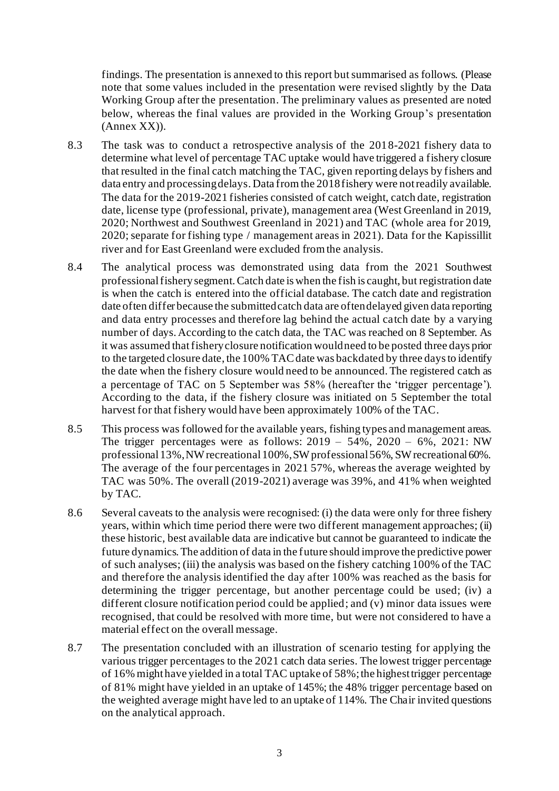findings. The presentation is annexed to this report but summarised as follows. (Please note that some values included in the presentation were revised slightly by the Data Working Group after the presentation. The preliminary values as presented are noted below, whereas the final values are provided in the Working Group's presentation (Annex XX)).

- 8.3 The task was to conduct a retrospective analysis of the 2018-2021 fishery data to determine what level of percentage TAC uptake would have triggered a fishery closure that resulted in the final catch matching the TAC, given reporting delays by fishers and data entry and processing delays. Data from the 2018 fishery were not readily available. The data for the 2019-2021 fisheries consisted of catch weight, catch date, registration date, license type (professional, private), management area (West Greenland in 2019, 2020; Northwest and Southwest Greenland in 2021) and TAC (whole area for 2019, 2020; separate for fishing type / management areas in 2021). Data for the Kapissillit river and for East Greenland were excluded from the analysis.
- 8.4 The analytical process was demonstrated using data from the 2021 Southwest professional fisherysegment. Catch date is when the fish is caught, but registration date is when the catch is entered into the official database. The catch date and registration date often differ because the submitted catch data are often delayed given data reporting and data entry processes and therefore lag behind the actual catch date by a varying number of days. According to the catch data, the TAC was reached on 8 September. As it was assumed that fishery closure notification would need to be posted three days prior to the targeted closure date, the 100% TAC date was backdated by three days to identify the date when the fishery closure would need to be announced. The registered catch as a percentage of TAC on 5 September was 58% (hereafter the 'trigger percentage'). According to the data, if the fishery closure was initiated on 5 September the total harvest for that fishery would have been approximately 100% of the TAC.
- 8.5 This process was followed for the available years, fishing types and management areas. The trigger percentages were as follows:  $2019 - 54\%$ ,  $2020 - 6\%$ ,  $2021$ : NW professional 13%, NW recreational 100%, SW professional 56%, SW recreational 60%. The average of the four percentages in 2021 57%, whereas the average weighted by TAC was 50%. The overall (2019-2021) average was 39%, and 41% when weighted by TAC.
- 8.6 Several caveats to the analysis were recognised: (i) the data were only for three fishery years, within which time period there were two different management approaches; (ii) these historic, best available data are indicative but cannot be guaranteed to indicate the future dynamics. The addition of data in the future should improve the predictive power of such analyses; (iii) the analysis was based on the fishery catching 100% of the TAC and therefore the analysis identified the day after 100% was reached as the basis for determining the trigger percentage, but another percentage could be used; (iv) a different closure notification period could be applied; and (v) minor data issues were recognised, that could be resolved with more time, but were not considered to have a material effect on the overall message.
- 8.7 The presentation concluded with an illustration of scenario testing for applying the various trigger percentages to the 2021 catch data series. The lowest trigger percentage of 16% might have yielded in a total TAC uptake of 58%; the highest trigger percentage of 81% might have yielded in an uptake of 145%; the 48% trigger percentage based on the weighted average might have led to an uptake of 114%. The Chair invited questions on the analytical approach.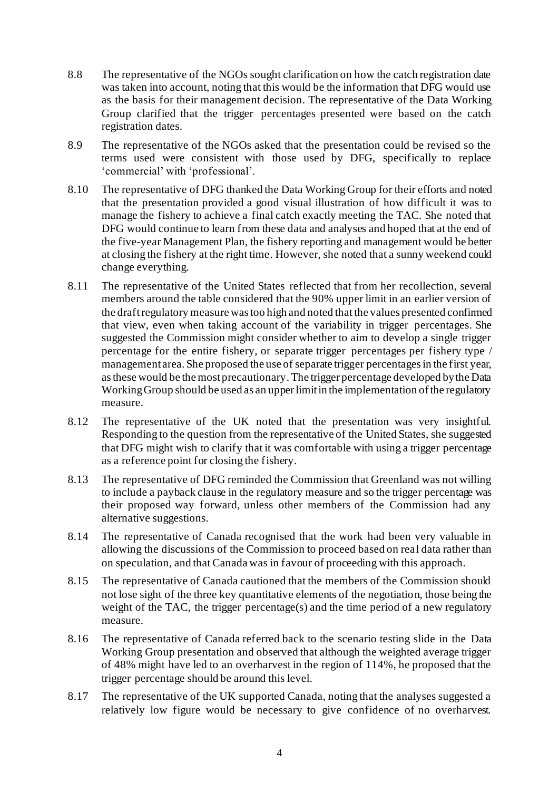- 8.8 The representative of the NGOs sought clarification on how the catch registration date was taken into account, noting that this would be the information that DFG would use as the basis for their management decision. The representative of the Data Working Group clarified that the trigger percentages presented were based on the catch registration dates.
- 8.9 The representative of the NGOs asked that the presentation could be revised so the terms used were consistent with those used by DFG, specifically to replace 'commercial' with 'professional'.
- 8.10 The representative of DFG thanked the Data Working Group for their efforts and noted that the presentation provided a good visual illustration of how difficult it was to manage the fishery to achieve a final catch exactly meeting the TAC. She noted that DFG would continue to learn from these data and analyses and hoped that at the end of the five-year Management Plan, the fishery reporting and management would be better at closing the fishery at the right time. However, she noted that a sunny weekend could change everything.
- 8.11 The representative of the United States reflected that from her recollection, several members around the table considered that the 90% upper limit in an earlier version of the draft regulatory measure was too high and noted that the values presented confirmed that view, even when taking account of the variability in trigger percentages. She suggested the Commission might consider whether to aim to develop a single trigger percentage for the entire fishery, or separate trigger percentages per fishery type / management area. She proposed the use of separate trigger percentagesin the first year, as these would be the most precautionary.The trigger percentage developed by the Data Working Group should be used as an upper limit in the implementation of the regulatory measure.
- 8.12 The representative of the UK noted that the presentation was very insightful. Responding to the question from the representative of the United States, she suggested that DFG might wish to clarify that it was comfortable with using a trigger percentage as a reference point for closing the fishery.
- 8.13 The representative of DFG reminded the Commission that Greenland was not willing to include a payback clause in the regulatory measure and so the trigger percentage was their proposed way forward, unless other members of the Commission had any alternative suggestions.
- 8.14 The representative of Canada recognised that the work had been very valuable in allowing the discussions of the Commission to proceed based on real data rather than on speculation, and that Canada was in favour of proceeding with this approach.
- 8.15 The representative of Canada cautioned that the members of the Commission should not lose sight of the three key quantitative elements of the negotiation, those being the weight of the TAC, the trigger percentage(s) and the time period of a new regulatory measure.
- 8.16 The representative of Canada referred back to the scenario testing slide in the Data Working Group presentation and observed that although the weighted average trigger of 48% might have led to an overharvest in the region of 114%, he proposed that the trigger percentage should be around this level.
- 8.17 The representative of the UK supported Canada, noting that the analyses suggested a relatively low figure would be necessary to give confidence of no overharvest.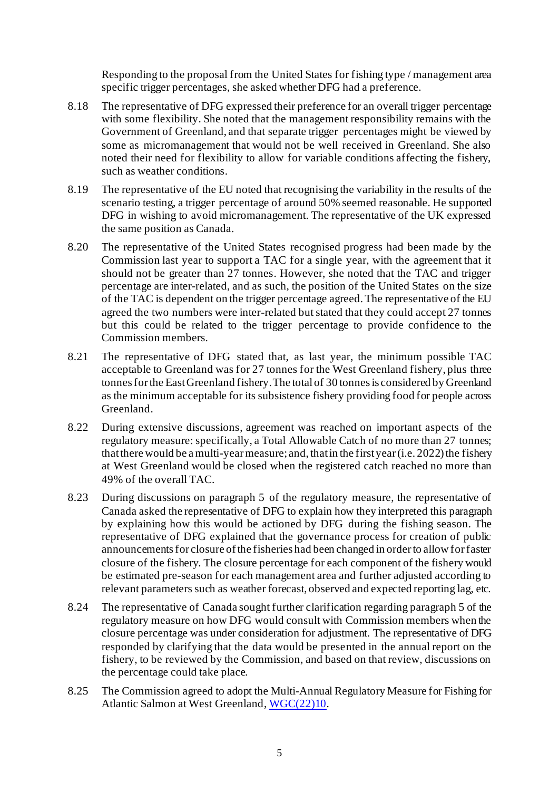Responding to the proposal from the United States for fishing type / management area specific trigger percentages, she asked whether DFG had a preference.

- 8.18 The representative of DFG expressed their preference for an overall trigger percentage with some flexibility. She noted that the management responsibility remains with the Government of Greenland, and that separate trigger percentages might be viewed by some as micromanagement that would not be well received in Greenland. She also noted their need for flexibility to allow for variable conditions affecting the fishery, such as weather conditions.
- 8.19 The representative of the EU noted that recognising the variability in the results of the scenario testing, a trigger percentage of around 50% seemed reasonable. He supported DFG in wishing to avoid micromanagement. The representative of the UK expressed the same position as Canada.
- 8.20 The representative of the United States recognised progress had been made by the Commission last year to support a TAC for a single year, with the agreement that it should not be greater than 27 tonnes. However, she noted that the TAC and trigger percentage are inter-related, and as such, the position of the United States on the size of the TAC is dependent on the trigger percentage agreed. The representative of the EU agreed the two numbers were inter-related but stated that they could accept 27 tonnes but this could be related to the trigger percentage to provide confidence to the Commission members.
- 8.21 The representative of DFG stated that, as last year, the minimum possible TAC acceptable to Greenland was for 27 tonnes for the West Greenland fishery, plus three tonnes for the East Greenland fishery. The total of 30 tonnes is considered by Greenland as the minimum acceptable for its subsistence fishery providing food for people across Greenland.
- 8.22 During extensive discussions, agreement was reached on important aspects of the regulatory measure: specifically, a Total Allowable Catch of no more than 27 tonnes; that there would be a multi-year measure; and, that in the first year (i.e. 2022) the fishery at West Greenland would be closed when the registered catch reached no more than 49% of the overall TAC.
- 8.23 During discussions on paragraph 5 of the regulatory measure, the representative of Canada asked the representative of DFG to explain how they interpreted this paragraph by explaining how this would be actioned by DFG during the fishing season. The representative of DFG explained that the governance process for creation of public announcements for closure of the fisheries had been changed in order to allow for faster closure of the fishery. The closure percentage for each component of the fishery would be estimated pre-season for each management area and further adjusted according to relevant parameters such as weather forecast, observed and expected reporting lag, etc.
- 8.24 The representative of Canada sought further clarification regarding paragraph 5 of the regulatory measure on how DFG would consult with Commission members when the closure percentage was under consideration for adjustment. The representative of DFG responded by clarifying that the data would be presented in the annual report on the fishery, to be reviewed by the Commission, and based on that review, discussions on the percentage could take place.
- 8.25 The Commission agreed to adopt the Multi-Annual Regulatory Measure for Fishing for Atlantic Salmon at West Greenland[, WGC\(22\)10](https://nasco.int/wp-content/uploads/2022/06/WGC2210_Multi-Annual-Regulatory-Measure-for-Fishing-for-Atlantic-Salmon-at-West-Greenland.pdf).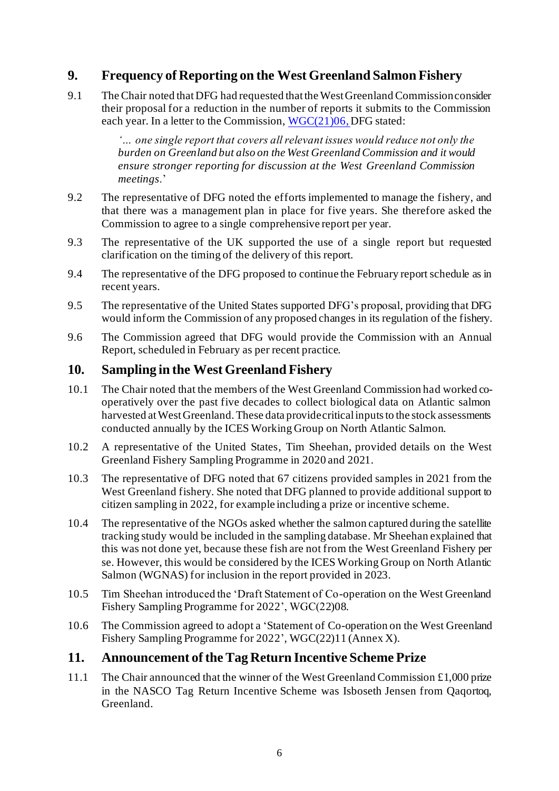### **9. Frequency of Reporting on the West Greenland Salmon Fishery**

9.1 The Chair noted that DFG had requested that the West Greenland Commission consider their proposal for a reduction in the number of reports it submits to the Commission each year. In a letter to the Commission[, WGC\(21\)06](https://nasco.int/wp-content/uploads/2021/03/WGC2106_Request-from-Denmark-in-respect-of-the-Faroe-Islands-and-Greenland-for-a-Supplementary-Item-for-the-West-Greenland-Commission-Agenda.pdf), DFG stated:

> *'… one single report that covers all relevant issues would reduce not only the burden on Greenland but also on the West Greenland Commission and it would ensure stronger reporting for discussion at the West Greenland Commission meetings*.'

- 9.2 The representative of DFG noted the efforts implemented to manage the fishery, and that there was a management plan in place for five years. She therefore asked the Commission to agree to a single comprehensive report per year.
- 9.3 The representative of the UK supported the use of a single report but requested clarification on the timing of the delivery of this report.
- 9.4 The representative of the DFG proposed to continue the February report schedule as in recent years.
- 9.5 The representative of the United States supported DFG's proposal, providing that DFG would inform the Commission of any proposed changes in its regulation of the fishery.
- 9.6 The Commission agreed that DFG would provide the Commission with an Annual Report, scheduled in February as per recent practice.

#### **10. Sampling in the West Greenland Fishery**

- 10.1 The Chair noted that the members of the West Greenland Commission had worked cooperatively over the past five decades to collect biological data on Atlantic salmon harvested at West Greenland. These data provide critical inputs to the stock assessments conducted annually by the ICES Working Group on North Atlantic Salmon.
- 10.2 A representative of the United States, Tim Sheehan, provided details on the West Greenland Fishery Sampling Programme in 2020 and 2021.
- 10.3 The representative of DFG noted that 67 citizens provided samples in 2021 from the West Greenland fishery. She noted that DFG planned to provide additional support to citizen sampling in 2022, for example including a prize or incentive scheme.
- 10.4 The representative of the NGOs asked whether the salmon captured during the satellite tracking study would be included in the sampling database. Mr Sheehan explained that this was not done yet, because these fish are not from the West Greenland Fishery per se. However, this would be considered by the ICES Working Group on North Atlantic Salmon (WGNAS) for inclusion in the report provided in 2023.
- 10.5 Tim Sheehan introduced the 'Draft Statement of Co-operation on the West Greenland Fishery Sampling Programme for 2022', WGC(22)08.
- 10.6 The Commission agreed to adopt a 'Statement of Co-operation on the West Greenland Fishery Sampling Programme for 2022', WGC(22)11 (Annex X).

#### **11. Announcement of the Tag Return Incentive Scheme Prize**

11.1 The Chair announced that the winner of the West Greenland Commission £1,000 prize in the NASCO Tag Return Incentive Scheme was Isboseth Jensen from Qaqortoq, Greenland.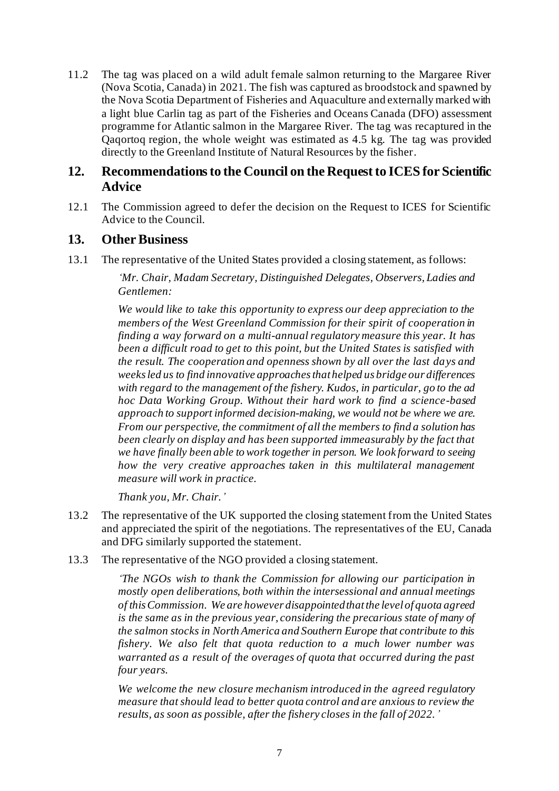11.2 The tag was placed on a wild adult female salmon returning to the Margaree River (Nova Scotia, Canada) in 2021. The fish was captured as broodstock and spawned by the Nova Scotia Department of Fisheries and Aquaculture and externally marked with a light blue Carlin tag as part of the Fisheries and Oceans Canada (DFO) assessment programme for Atlantic salmon in the Margaree River. The tag was recaptured in the Qaqortoq region, the whole weight was estimated as 4.5 kg. The tag was provided directly to the Greenland Institute of Natural Resources by the fisher.

#### **12. Recommendations to the Council on the Request to ICES for Scientific Advice**

12.1 The Commission agreed to defer the decision on the Request to ICES for Scientific Advice to the Council.

#### **13. Other Business**

13.1 The representative of the United States provided a closing statement, as follows:

*'Mr. Chair, Madam Secretary, Distinguished Delegates, Observers, Ladies and Gentlemen:*

*We would like to take this opportunity to express our deep appreciation to the members of the West Greenland Commission for their spirit of cooperation in finding a way forward on a multi-annual regulatory measure this year. It has been a difficult road to get to this point, but the United States is satisfied with the result. The cooperation and openness shown by all over the last days and weeks led us to find innovative approaches that helped us bridge our differences with regard to the management of the fishery. Kudos, in particular, go to the ad hoc Data Working Group. Without their hard work to find a science-based approach to support informed decision-making, we would not be where we are. From our perspective, the commitment of all the members to find a solution has been clearly on display and has been supported immeasurably by the fact that we have finally been able to work together in person. We look forward to seeing how the very creative approaches taken in this multilateral management measure will work in practice.*

*Thank you, Mr. Chair.'*

- 13.2 The representative of the UK supported the closing statement from the United States and appreciated the spirit of the negotiations. The representatives of the EU, Canada and DFG similarly supported the statement.
- 13.3 The representative of the NGO provided a closing statement.

*'The NGOs wish to thank the Commission for allowing our participation in mostly open deliberations, both within the intersessional and annual meetings of this Commission. We are however disappointed that the level of quota agreed*  is the same as in the previous year, considering the precarious state of many of *the salmon stocks in North America and Southern Europe that contribute to this fishery. We also felt that quota reduction to a much lower number was warranted as a result of the overages of quota that occurred during the past four years.*

*We welcome the new closure mechanism introduced in the agreed regulatory measure that should lead to better quota control and are anxious to review the results, as soon as possible, after the fishery closes in the fall of 2022.'*